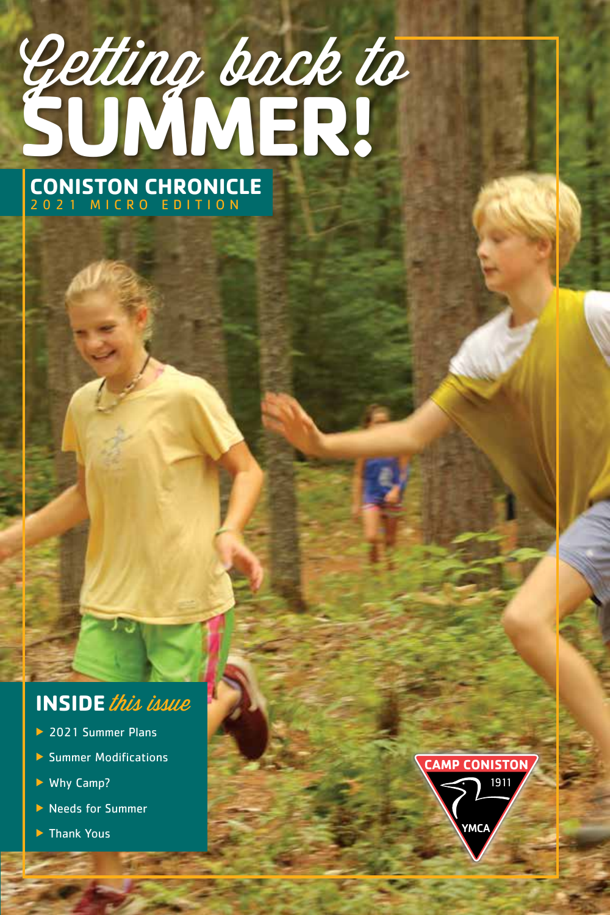# Getting back to **SUMMER!**

**CONISTON CHRONICLE**  2021 MICRO EDITION

# **INSIDE** this issue

- ▶ 2021 Summer Plans
- **Summer Modifications**
- ▶ Why Camp?
- ▶ Needs for Summer
- ▶ Thank Yous

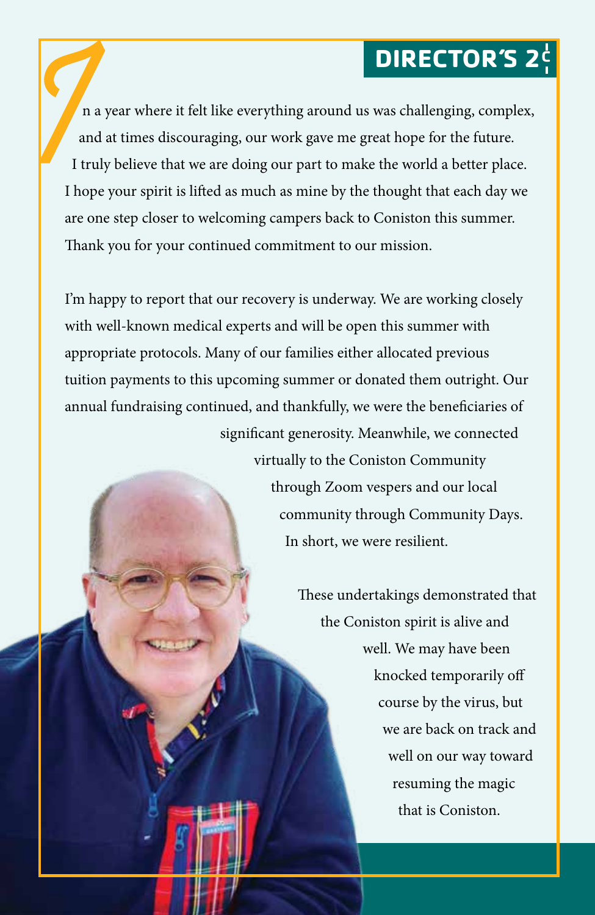# **DIRECTOR'S 2<sup>c</sup>**

 n a year where it felt like everything around us was challenging, complex, and at times discouraging, our work gave me great hope for the future. I truly believe that we are doing our part to make the world a better place. I hope your spirit is lifted as much as mine by the thought that each day we are one step closer to welcoming campers back to Coniston this summer. Thank you for your continued commitment to our mission.

I'm happy to report that our recovery is underway. We are working closely with well-known medical experts and will be open this summer with appropriate protocols. Many of our families either allocated previous tuition payments to this upcoming summer or donated them outright. Our annual fundraising continued, and thankfully, we were the beneficiaries of significant generosity. Meanwhile, we connected

> virtually to the Coniston Community through Zoom vespers and our local community through Community Days. In short, we were resilient.

> > These undertakings demonstrated that the Coniston spirit is alive and well. We may have been knocked temporarily off course by the virus, but we are back on track and well on our way toward resuming the magic that is Coniston.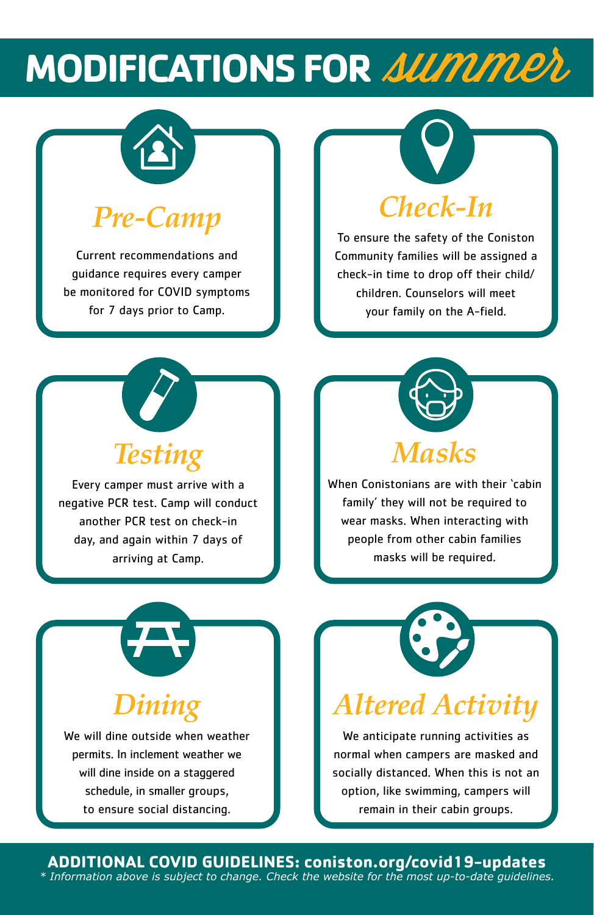# **MODIFICATIONS FOR SUMMER**



# *Pre-Camp*

Current recommendations and guidance requires every camper be monitored for COVID symptoms for 7 days prior to Camp.

# *Check-In*

To ensure the safety of the Coniston Community families will be assigned a check-in time to drop off their child/ children. Counselors will meet your family on the A-field.



Every camper must arrive with a negative PCR test. Camp will conduct another PCR test on check-in day, and again within 7 days of arriving at Camp.



When Conistonians are with their 'cabin family' they will not be required to wear masks. When interacting with people from other cabin families masks will be required.



# *Dining*

We will dine outside when weather permits. In inclement weather we will dine inside on a staggered schedule, in smaller groups, to ensure social distancing.



# *Altered Activity*

We anticipate running activities as normal when campers are masked and socially distanced. When this is not an option, like swimming, campers will remain in their cabin groups.

**MISSION** Statement

**ADDITIONAL COVID GUIDELINES: coniston.org/covid19-updates** *\* Information above is subject to change. Check the website for the most up-to-date guidelines.*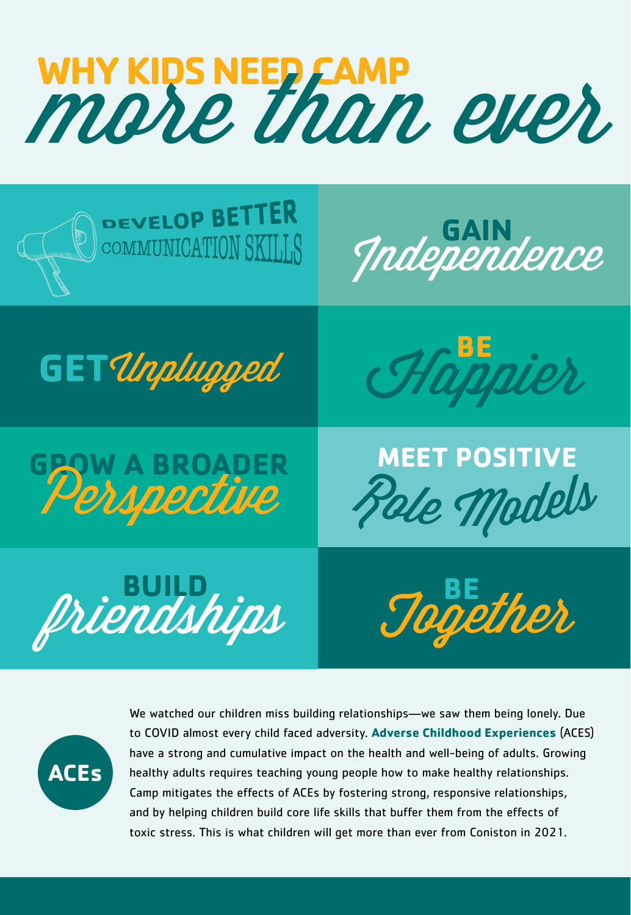# WHY KIDS NEED CAMP<br>MORE than ever





We watched our children miss building relationships—we saw them being lonely. Due to COVID almost every child faced adversity. **Adverse Childhood Experiences** (ACES) have a strong and cumulative impact on the health and well-being of adults. Growing healthy adults requires teaching young people how to make healthy relationships. Camp mitigates the effects of ACEs by fostering strong, responsive relationships, and by helping children build core life skills that buffer them from the effects of toxic stress. This is what children will get more than ever from Coniston in 2021.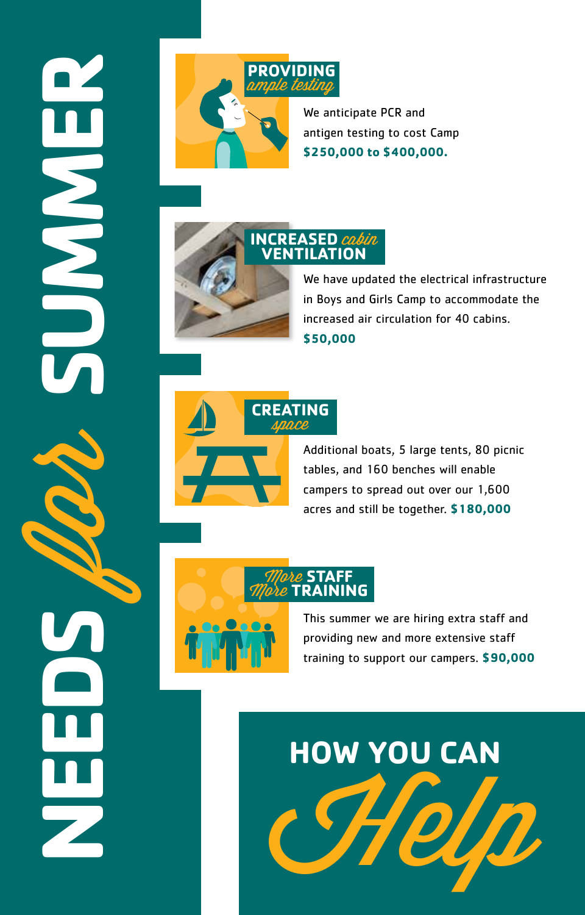# **NEEDS** for **SUMMER NINER**



We anticipate PCR and antigen testing to cost Camp **\$250,000 to \$400,000.**



## We have updated the electrical infrastructure in Boys and Girls Camp to accommodate the increased air circulation for 40 cabins. **\$50,000**



Additional boats, 5 large tents, 80 picnic tables, and 160 benches will enable campers to spread out over our 1,600 acres and still be together. **\$180,000**



This summer we are hiring extra staff and providing new and more extensive staff training to support our campers. **\$90,000**

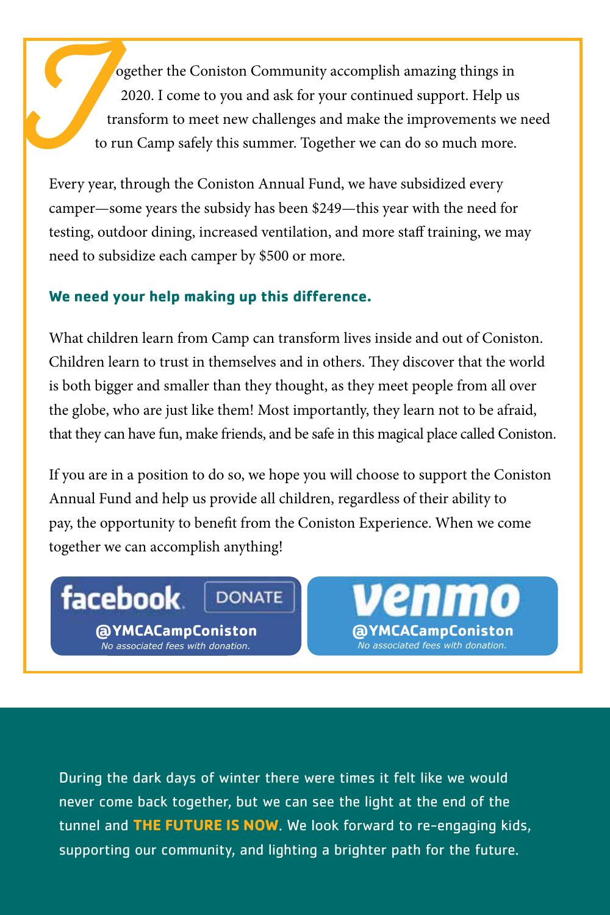ogether the Coniston Community accomplish amazing things in 2020. I come to you and ask for your continued support. Help us transform to meet new challenges and make the improvements we need to run Camp safely this summer. Together we can do so much more. C de la Catalunie de la Catalunie de la Catalunie de la Catalunie de la Catalunie de la Catalunie de la Catalunie de la Catalunie de la Catalunie de la Catalunie de la Catalunie de la Catalunie de la Catalunie de la Catalu

Every year, through the Coniston Annual Fund, we have subsidized every camper—some years the subsidy has been \$249—this year with the need for testing, outdoor dining, increased ventilation, and more staff training, we may need to subsidize each camper by \$500 or more.

### **We need your help making up this difference.**

What children learn from Camp can transform lives inside and out of Coniston. Children learn to trust in themselves and in others. They discover that the world is both bigger and smaller than they thought, as they meet people from all over the globe, who are just like them! Most importantly, they learn not to be afraid, that they can have fun, make friends, and be safe in this magical place called Coniston.

If you are in a position to do so, we hope you will choose to support the Coniston Annual Fund and help us provide all children, regardless of their ability to pay, the opportunity to benefit from the Coniston Experience. When we come together we can accomplish anything!

**DONATE** 

# facebook

**@YMCACampConiston** *No associated fees with donation.*

**@YMCACampConiston** *No associated fees with donation.*

During the dark days of winter there were times it felt like we would never come back together, but we can see the light at the end of the tunnel and **THE FUTURE IS NOW**. We look forward to re-engaging kids, supporting our community, and lighting a brighter path for the future.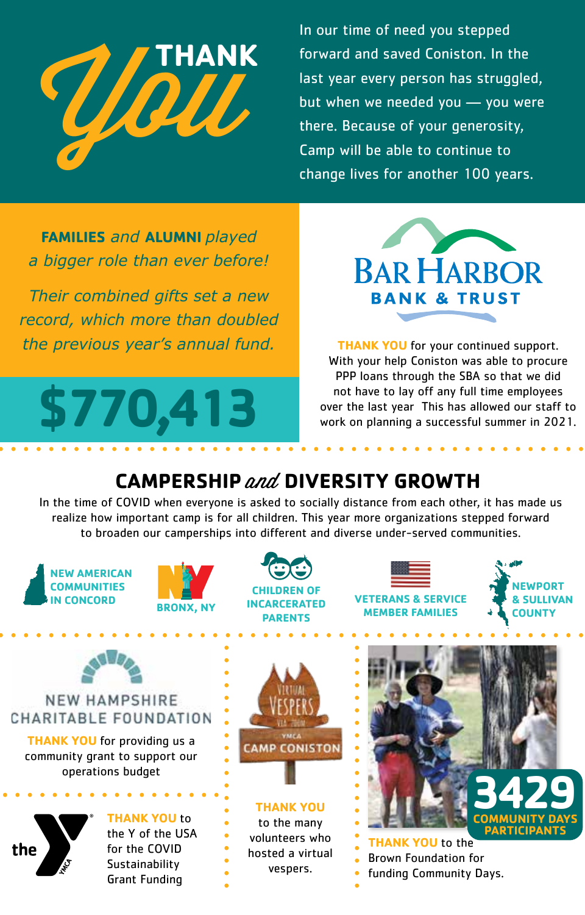

In our time of need you stepped forward and saved Coniston. In the last year every person has struggled, but when we needed you — you were there. Because of your generosity, Camp will be able to continue to change lives for another 100 years.

**FAMILIES** *and* **ALUMNI** *played a bigger role than ever before!* 

*Their combined gifts set a new record, which more than doubled the previous year's annual fund.* THANK YOU for your continued support.





With your help Coniston was able to procure PPP loans through the SBA so that we did not have to lay off any full time employees over the last year This has allowed our staff to work on planning a successful summer in 2021.

# **CAMPERSHIP** and **DIVERSITY GROWTH**

In the time of COVID when everyone is asked to socially distance from each other, it has made us realize how important camp is for all children. This year more organizations stepped forward to broaden our camperships into different and diverse under-served communities.

**IEW AMERICAN COMMUNITIES IN CONCORD**





**VETERANS & SERVICE MEMBER FAMILIES**

**NEWPORT & SULLIVAN COUNTY**



**THANK YOU** for providing us a community grant to support our operations budget



**THANK YOU** to the Y of the USA for the COVID **Sustainability** Grant Funding



**THANK YOU**  to the many volunteers who hosted a virtual vespers.



**ANK YOU** to the Brown Foundation for funding Community Days.